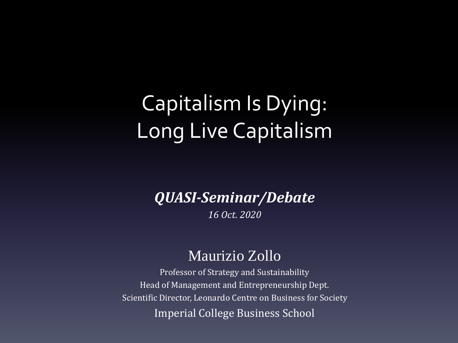#### Capitalism Is Dying: Long Live Capitalism

*QUASI-Seminar/Debate*

*16 Oct. 2020*

#### Maurizio Zollo

Professor of Strategy and Sustainability Head of Management and Entrepreneurship Dept. Scientific Director, Leonardo Centre on Business for Society Imperial College Business School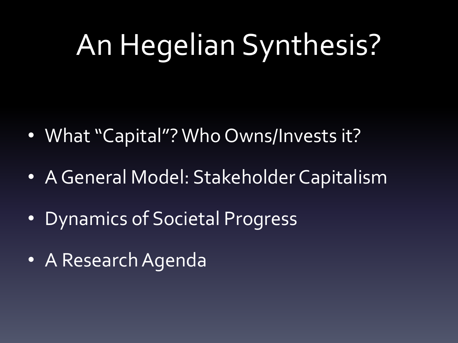# An Hegelian Synthesis?

- What "Capital"? Who Owns/Invests it?
- A General Model: Stakeholder Capitalism
- Dynamics of Societal Progress
- A Research Agenda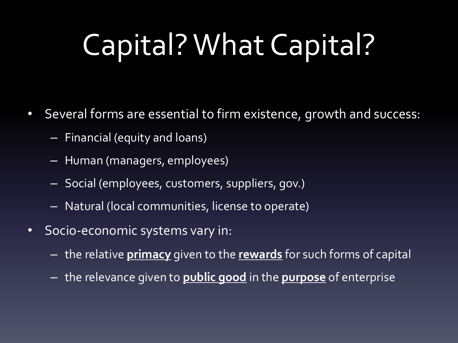# Capital? What Capital?

- Several forms are essential to firm existence, growth and success:
	- Financial (equity and loans)
	- Human (managers, employees)
	- Social (employees, customers, suppliers, gov.)
	- Natural (local communities, license to operate)
- Socio-economic systems vary in:
	- the relative **primacy** given to the **rewards** for such forms of capital
	- the relevance given to **public good** in the **purpose** of enterprise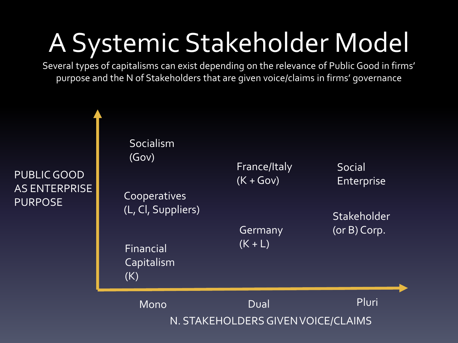### A Systemic Stakeholder Model

Several types of capitalisms can exist depending on the relevance of Public Good in firms' purpose and the N of Stakeholders that are given voice/claims in firms' governance

PUBLIC GOOD AS ENTERPRISE PURPOSE

| Financial<br><b>Capitalism</b>     |                             |                             |
|------------------------------------|-----------------------------|-----------------------------|
|                                    | Germany<br>$(K + L)$        | $(or B)$ Corp.              |
| Cooperatives<br>(L, Cl, Suppliers) |                             | Stakeholder                 |
| Socialism<br>(Gov)                 | France/Italy<br>$(K + Gov)$ | Social<br><b>Enterprise</b> |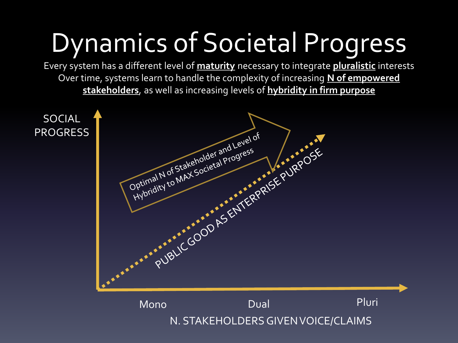### Dynamics of Societal Progress

Every system has a different level of **maturity** necessary to integrate **pluralistic** interests Over time, systems learn to handle the complexity of increasing **N of empowered stakeholders**, as well as increasing levels of **hybridity in firm purpose**

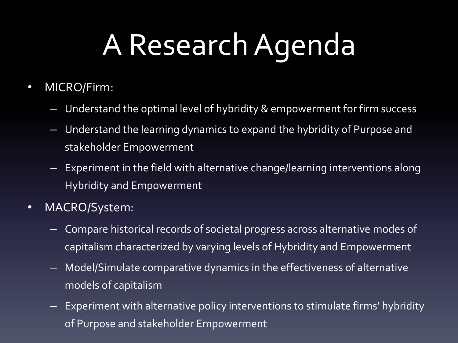# A Research Agenda

- MICRO/Firm:
	- Understand the optimal level of hybridity & empowerment for firm success
	- Understand the learning dynamics to expand the hybridity of Purpose and stakeholder Empowerment
	- Experiment in the field with alternative change/learning interventions along Hybridity and Empowerment
- MACRO/System:
	- Compare historical records of societal progress across alternative modes of capitalism characterized by varying levels of Hybridity and Empowerment
	- Model/Simulate comparative dynamics in the effectiveness of alternative models of capitalism
	- Experiment with alternative policy interventions to stimulate firms' hybridity of Purpose and stakeholder Empowerment